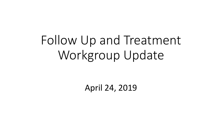# Follow Up and Treatment Workgroup Update

April 24, 2019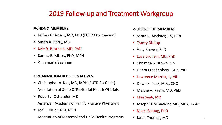### 2019 Follow-up and Treatment Workgroup

### **ACHDNC MEMBERS**

- Jeffrey P. Brosco, MD, PhD (FUTR Chairperson)
- Susan A. Berry, MD
- Kyle B. Brothers, MD, PhD
- Kamila B. Mistry, PhD, MPH
- Annamarie Saarinen

#### **ORGANIZATION REPRESENTATIVES**

- Christopher A. Kus, MD, MPH (FUTR Co-Chair) Association of State & Territorial Health Officials
- Robert J. Ostrander, MD American Academy of Family Practice Physicians
- Jed L. Miller, MD, MPH

Association of Maternal and Child Health Programs

#### **WORKGROUP MEMBERS**

- Sabra A. Anckner, RN, BSN
- Tracey Bishop
- Amy Brower, PhD
- Luca Brunelli, MD, PhD
- Christine S. Brown, MS
- Debra Freedenberg, MD, PhD
- Lawrence Merritt, II, MD
- Dawn S. Peck, M.S., CGC
- Margie A. Ream, MD, PhD
- Elna Saah, MD
- Joseph H. Schneider, MD, MBA, FAAP
- Marci Sontag, PhD
- Janet Thomas, MD  $_2$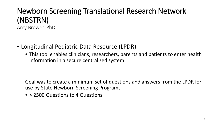### Newborn Screening Translational Research Network (NBSTRN) Amy Brower, PhD

- Longitudinal Pediatric Data Resource (LPDR)
	- This tool enables clinicians, researchers, parents and patients to enter health information in a secure centralized system.

Goal was to create a minimum set of questions and answers from the LPDR for use by State Newborn Screening Programs

• > 2500 Questions to 4 Questions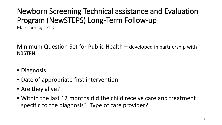## Newborn Screening Technical assistance and Evaluation Program (NewSTEPS) Long-Term Follow-up

Marci Sontag, PhD

Minimum Question Set for Public Health – developed in partnership with NBSTRN

- Diagnosis
- Date of appropriate first intervention
- Are they alive?
- Within the last 12 months did the child receive care and treatment specific to the diagnosis? Type of care provider?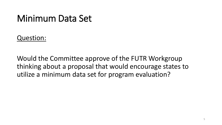### Minimum Data Set

Question:

Would the Committee approve of the FUTR Workgroup thinking about a proposal that would encourage states to utilize a minimum data set for program evaluation?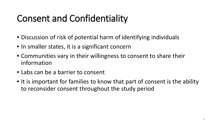## Consent and Confidentiality

- Discussion of risk of potential harm of identifying individuals
- In smaller states, it is a significant concern
- Communities vary in their willingness to consent to share their information
- Labs can be a barrier to consent
- It is important for families to know that part of consent is the ability to reconsider consent throughout the study period